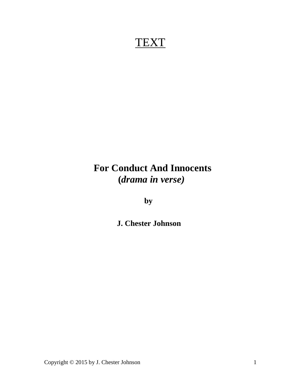# **TEXT**

# **For Conduct And Innocents (***drama in verse)*

 **by**

 **J. Chester Johnson**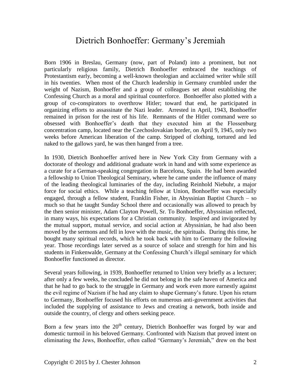## Dietrich Bonhoeffer: Germany's Jeremiah

Born 1906 in Breslau, Germany (now, part of Poland) into a prominent, but not particularly religious family, Dietrich Bonhoeffer embraced the teachings of Protestantism early, becoming a well-known theologian and acclaimed writer while still in his twenties. When most of the Church leadership in Germany crumbled under the weight of Nazism, Bonhoeffer and a group of colleagues set about establishing the Confessing Church as a moral and spiritual counterforce. Bonhoeffer also plotted with a group of co-conspirators to overthrow Hitler; toward that end, he participated in organizing efforts to assassinate the Nazi leader. Arrested in April, 1943, Bonhoeffer remained in prison for the rest of his life. Remnants of the Hitler command were so obsessed with Bonhoeffer's death that they executed him at the Flossenburg concentration camp, located near the Czechoslovakian border, on April 9, 1945, only two weeks before American liberation of the camp. Stripped of clothing, tortured and led naked to the gallows yard, he was then hanged from a tree.

In 1930, Dietrich Bonhoeffer arrived here in New York City from Germany with a doctorate of theology and additional graduate work in hand and with some experience as a curate for a German-speaking congregation in Barcelona, Spain. He had been awarded a fellowship to Union Theological Seminary, where he came under the influence of many of the leading theological luminaries of the day, including Reinhold Niebuhr, a major force for social ethics. While a teaching fellow at Union, Bonhoeffer was especially engaged, through a fellow student, Franklin Fisher, in Abyssinian Baptist Church – so much so that he taught Sunday School there and occasionally was allowed to preach by the then senior minister, Adam Clayton Powell, Sr. To Bonhoeffer, Abyssinian reflected, in many ways, his expectations for a Christian community. Inspired and invigorated by the mutual support, mutual service, and social action at Abyssinian, he had also been moved by the sermons and fell in love with the music, the spirituals. During this time, he bought many spiritual records, which he took back with him to Germany the following year. Those recordings later served as a source of solace and strength for him and his students in Finkenwalde, Germany at the Confessing Church's illegal seminary for which Bonhoeffer functioned as director.

Several years following, in 1939, Bonhoeffer returned to Union very briefly as a lecturer; after only a few weeks, he concluded he did not belong in the safe haven of America and that he had to go back to the struggle in Germany and work even more earnestly against the evil regime of Nazism if he had any claim to shape Germany's future. Upon his return to Germany, Bonhoeffer focused his efforts on numerous anti-government activities that included the supplying of assistance to Jews and creating a network, both inside and outside the country, of clergy and others seeking peace.

Born a few years into the  $20<sup>th</sup>$  century, Dietrich Bonhoeffer was forged by war and domestic turmoil in his beloved Germany. Confronted with Nazism that proved intent on eliminating the Jews, Bonhoeffer, often called "Germany's Jeremiah," drew on the best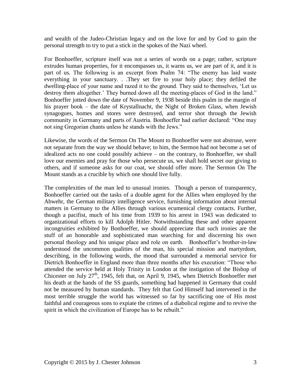and wealth of the Judeo-Christian legacy and on the love for and by God to gain the personal strength to try to put a stick in the spokes of the Nazi wheel.

For Bonhoeffer, scripture itself was not a series of words on a page; rather, scripture extrudes human properties, for it encompasses us, it warns us, we are part of it, and it is part of us. The following is an excerpt from Psalm 74: "The enemy has laid waste everything in your sanctuary. . .They set fire to your holy place; they defiled the dwelling-place of your name and razed it to the ground. They said to themselves, 'Let us destroy them altogether.' They burned down all the meeting-places of God in the land." Bonhoeffer jotted down the date of November 9, 1938 beside this psalm in the margin of his prayer book – the date of Krystallnacht, the Night of Broken Glass, when Jewish synagogues, homes and stores were destroyed, and terror shot through the Jewish community in Germany and parts of Austria. Bonhoeffer had earlier declared: "One may not sing Gregorian chants unless he stands with the Jews."

Likewise, the words of the Sermon On The Mount to Bonhoeffer were not abstruse, were not separate from the way we should behave; to him, the Sermon had not become a set of idealized acts no one could possibly achieve – on the contrary, to Bonhoeffer, we shall love our enemies and pray for those who persecute us, we shall hold secret our giving to others, and if someone asks for our coat, we should offer more. The Sermon On The Mount stands as a crucible by which one should live fully.

The complexities of the man led to unusual ironies. Though a person of transparency, Bonhoeffer carried out the tasks of a double agent for the Allies when employed by the Abwehr, the German military intelligence service, furnishing information about internal matters in Germany to the Allies through various ecumenical clergy contacts. Further, though a pacifist, much of his time from 1939 to his arrest in 1943 was dedicated to organizational efforts to kill Adolph Hitler. Notwithstanding these and other apparent incongruities exhibited by Bonhoeffer, we should appreciate that such ironies are the stuff of an honorable and sophisticated man searching for and discerning his own personal theology and his unique place and role on earth. Bonhoeffer's brother-in-law understood the uncommon qualities of the man, his special mission and martyrdom, describing, in the following words, the mood that surrounded a memorial service for Dietrich Bonhoeffer in England more than three months after his execution: "Those who attended the service held at Holy Trinity in London at the instigation of the Bishop of Chicester on July  $27<sup>th</sup>$ , 1945, felt that, on April 9, 1945, when Dietrich Bonhoeffer met his death at the hands of the SS guards, something had happened in Germany that could not be measured by human standards. They felt that God Himself had intervened in the most terrible struggle the world has witnessed so far by sacrificing one of His most faithful and courageous sons to expiate the crimes of a diabolical regime and to revive the spirit in which the civilization of Europe has to be rebuilt."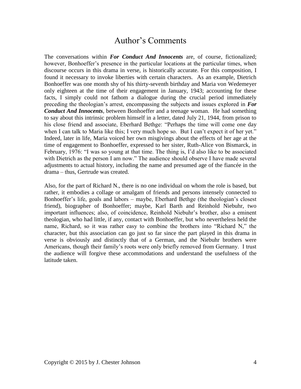## Author's Comments

The conversations within *For Conduct And Innocents* are, of course, fictionalized; however, Bonhoeffer's presence in the particular locations at the particular times, when discourse occurs in this drama in verse, is historically accurate. For this composition, I found it necessary to invoke liberties with certain characters. As an example, Dietrich Bonhoeffer was one month shy of his thirty-seventh birthday and Maria von Wedemeyer only eighteen at the time of their engagement in January, 1943; accounting for these facts, I simply could not fathom a dialogue during the crucial period immediately preceding the theologian's arrest, encompassing the subjects and issues explored in *For Conduct And Innocents*, between Bonhoeffer and a teenage woman. He had something to say about this intrinsic problem himself in a letter, dated July 21, 1944, from prison to his close friend and associate, Eberhard Bethge: "Perhaps the time will come one day when I can talk to Maria like this; I very much hope so. But I can't expect it of her yet." Indeed, later in life, Maria voiced her own misgivings about the effects of her age at the time of engagement to Bonhoeffer, expressed to her sister, Ruth-Alice von Bismarck, in February, 1976: "I was so young at that time. The thing is, I'd also like to be associated with Dietrich as the person I am now." The audience should observe I have made several adjustments to actual history, including the name and presumed age of the fiancée in the drama – thus, Gertrude was created.

Also, for the part of Richard N., there is no one individual on whom the role is based, but rather, it embodies a collage or amalgam of friends and persons intensely connected to Bonhoeffer's life, goals and labors – maybe, Eberhard Bethge (the theologian's closest friend), biographer of Bonhoeffer; maybe, Karl Barth and Reinhold Niebuhr, two important influences; also, of coincidence, Reinhold Niebuhr's brother, also a eminent theologian, who had little, if any, contact with Bonhoeffer, but who nevertheless held the name, Richard, so it was rather easy to combine the brothers into "Richard N," the character, but this association can go just so far since the part played in this drama in verse is obviously and distinctly that of a German, and the Niebuhr brothers were Americans, though their family's roots were only briefly removed from Germany. I trust the audience will forgive these accommodations and understand the usefulness of the latitude taken.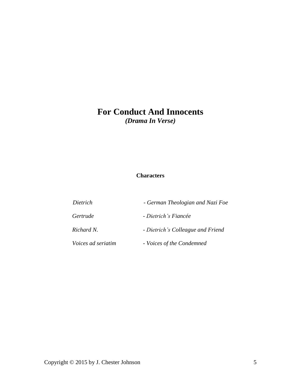# **For Conduct And Innocents**

*(Drama In Verse)*

### **Characters**

| Dietrich                  | - German Theologian and Nazi Foe  |
|---------------------------|-----------------------------------|
| Gertrude                  | - Dietrich's Fiancée              |
| Richard N.                | - Dietrich's Colleague and Friend |
| <i>Voices ad seriatim</i> | - Voices of the Condemned         |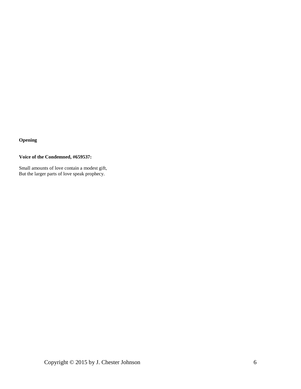### **Opening**

### **Voice of the Condemned, #659537:**

Small amounts of love contain a modest gift, But the larger parts of love speak prophecy.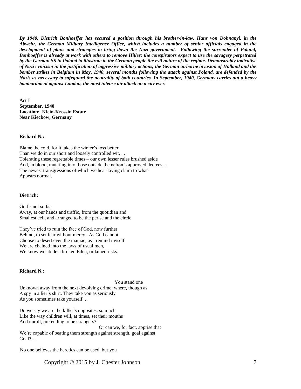*By 1940, Dietrich Bonhoeffer has secured a position through his brother-in-law, Hans von Dohnanyi, in the Abwehr, the German Military Intelligence Office, which includes a number of senior officials engaged in the development of plans and strategies to bring down the Nazi government. Following the surrender of Poland, Bonhoeffer is already at work with others to remove Hitler; the conspirators expect to use the savagery perpetrated by the German SS in Poland to illustrate to the German people the evil nature of the regime. Demonstrably indicative of Nazi cynicism in the justification of aggressive military actions, the German airborne invasion of Holland and the bomber strikes in Belgium in May, 1940, several months following the attack against Poland, are defended by the Nazis as necessary to safeguard the neutrality of both countries. In September, 1940, Germany carries out a heavy bombardment against London, the most intense air attack on a city ever.*

**Act I September, 1940 Location: Klein-Krossin Estate Near Kieckow, Germany**

**Richard N.:**

Blame the cold, for it takes the winter's loss better Than we do in our short and loosely controlled wit... Tolerating these regrettable times – our own lesser rules brushed aside And, in blood, mutating into those outside the nation's approved decrees... The newest transgressions of which we hear laying claim to what Appears normal.

#### **Dietrich:**

God's not so far Away, at our hands and traffic, from the quotidian and Smallest cell, and arranged to be the per se and the circle.

They've tried to ruin the face of God, now further Behind, to set fear without mercy. As God cannot Choose to desert even the maniac, as I remind myself We are chained into the laws of usual men, We know we abide a broken Eden, ordained risks.

#### **Richard N.:**

You stand one

Unknown away from the next devolving crime, where, though as A spy in a lier's shirt. They take you as seriously As you sometimes take yourself. . .

Do we say we are the killer's opposites, so much Like the way children will, at times, set their mouths And unroll, pretending to be strangers? Or can we, for fact, apprise that We're capable of beating them strength against strength, goal against Goal?. . .

No one believes the heretics can be used, but you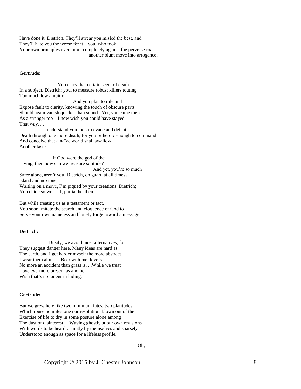Have done it, Dietrich. They'll swear you misled the best, and They'll hate you the worse for  $it - you$ , who took Your own principles even more completely against the perverse roar – another blunt move into arrogance.

#### **Gertrude:**

 You carry that certain scent of death In a subject, Dietrich; you, to measure robust killers touting Too much low ambition. . .

 And you plan to rule and Expose fault to clarity, knowing the touch of obscure parts Should again vanish quicker than sound. Yet, you came then As a stranger too – I now wish you could have stayed That way. . .

 I understand you look to evade and defeat Death through one more death, for you're heroic enough to command And conceive that a naïve world shall swallow Another taste. . .

 If God were the god of the Living, then how can we treasure solitude? And yet, you're so much Safer alone, aren't you, Dietrich, on guard at all times? Bland and noxious, Waiting on a move, I'm piqued by your creations, Dietrich; You chide so well  $- I$ , partial heathen...

But while treating us as a testament or tact, You soon imitate the search and eloquence of God to Serve your own nameless and lonely forge toward a message.

#### **Dietrich:**

 Busily, we avoid most alternatives, for They suggest danger here. Many ideas are hard as The earth, and I get harder myself the more abstract I wear them alone. . .Bear with me, love's No more an accident than grass is. . .While we treat Love evermore present as another Wish that's no longer in hiding.

#### **Gertrude:**

But we grew here like two minimum fates, two platitudes, Which rouse no milestone nor resolution, blown out of the Exercise of life to dry in some posture alone among The dust of disinterest. . .Waving ghostly at our own revisions With words to be heard quaintly by themselves and sparsely Understood enough as space for a lifeless profile.

Oh,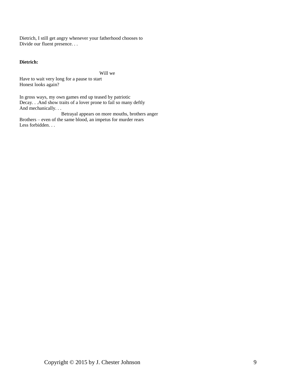Dietrich, I still get angry whenever your fatherhood chooses to Divide our fluent presence...

#### **Dietrich:**

Will we

Have to wait very long for a pause to start Honest looks again?

In gross ways, my own games end up teased by patriotic Decay. . .And show traits of a lover prone to fail so many deftly And mechanically. . .

 Betrayal appears on more mouths, brothers anger Brothers – even of the same blood, an impetus for murder rears Less forbidden...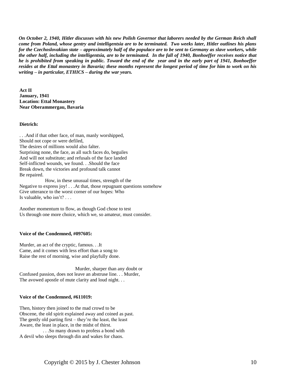*On October 2, 1940, Hitler discusses with his new Polish Governor that laborers needed by the German Reich shall come from Poland, whose gentry and intelligentsia are to be terminated. Two weeks later, Hitler outlines his plans for the Czechoslovakian state – approximately half of the populace are to be sent to Germany as slave workers, while the other half, including the intelligentsia, are to be terminated. In the fall of 1940, Bonhoeffer receives notice that he is prohibited from speaking in public. Toward the end of the year and in the early part of 1941, Bonhoeffer resides at the Ettal monastery in Bavaria; these months represent the longest period of time for him to work on his writing – in particular, ETHICS – during the war years.*

**Act II January, 1941 Location: Ettal Monastery Near Oberammergau, Bavaria**

#### **Dietrich:**

. . .And if that other face, of man, manly worshipped, Should not cope or were defiled, The desires of millions would also falter. Surprising none, the face, as all such faces do, beguiles And will not substitute; and refusals of the face landed Self-inflicted wounds, we found. . .Should the face Break down, the victories and profound talk cannot Be repaired.

 How, in these unusual times, strength of the Negative to express joy! . . .At that, those repugnant questions somehow Give utterance to the worst corner of our hopes: Who Is valuable, who isn't?  $\ldots$ 

Another momentum to flow, as though God chose to test Us through one more choice, which we, so amateur, must consider.

#### **Voice of the Condemned, #097605:**

Murder, an act of the cryptic, famous. . .It Came, and it comes with less effort than a song to Raise the rest of morning, wise and playfully done.

 Murder, sharper than any doubt or Confused passion, does not leave an abstruse line. . . Murder, The avowed apostle of mute clarity and loud night. . .

#### **Voice of the Condemned, #611019:**

Then, history then joined to the mad crowd to be Obscene, the old spirit explained away and coined as past. The gently old parting first – they're the least, the least Aware, the least in place, in the midst of thirst.

 . . .So many drawn to profess a bond with A devil who sleeps through din and wakes for chaos.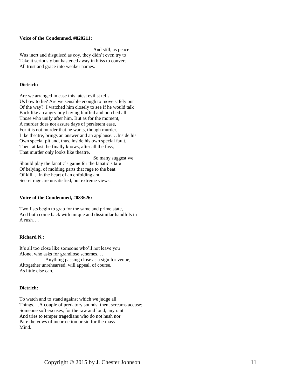#### **Voice of the Condemned, #820211:**

 And still, as peace Was inert and disguised as coy, they didn't even try to Take it seriously but hastened away in bliss to convert All trust and grace into weaker names.

#### **Dietrich:**

Are we arranged in case this latest evilist tells Us how to lie? Are we sensible enough to move safely out Of the way? I watched him closely to see if he would talk Back like an angry boy having bluffed and notched all Those who unify after him. But as for the moment, A murder does not assure days of persistent ease, For it is not murder that he wants, though murder, Like theatre, brings an answer and an applause. . .Inside his Own special pit and, thus, inside his own special fault, Then, at last, he finally knows, after all the fuss, That murder only looks like theatre.

 So many suggest we Should play the fanatic's game for the fanatic's tale Of belying, of molding parts that rage to the beat Of kill. . .In the heart of an enfolding and Secret rage are unsatisfied, but extreme views.

#### **Voice of the Condemned, #083626:**

Two fists begin to grab for the same and prime state, And both come back with unique and dissimilar handfuls in A rush. . .

#### **Richard N.:**

It's all too close like someone who'll not leave you Alone, who asks for grandiose schemes. . . Anything passing close as a sign for venue, Altogether unrehearsed, will appeal, of course, As little else can.

#### **Dietrich:**

To watch and to stand against which we judge all Things. . .A couple of predatory sounds; then, screams accuse; Someone soft excuses, for the raw and loud, any rant And tries to temper tragedians who do not hush nor Pare the vows of incorrection or sin for the mass Mind.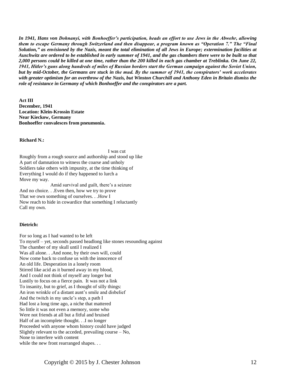*In 1941, Hans von Dohnanyi, with Bonhoeffer's participation, heads an effort to use Jews in the Abwehr, allowing them to escape Germany through Switzerland and then disappear, a program known as "Operation 7." The "Final Solution," as envisioned by the Nazis, meant the total elimination of all Jews in Europe; extermination facilities at Auschwitz are ordered to be established in early summer of 1941, and the gas chambers there were to be built so that 2,000 persons could be killed at one time, rather than the 200 killed in each gas chamber at Treblinka. On June 22, 1941, Hitler's guns along hundreds of miles of Russian borders start the German campaign against the Soviet Union, but by mid-October, the Germans are stuck in the mud. By the summer of 1941, the conspirators' work accelerates with greater optimism for an overthrow of the Nazis, but Winston Churchill and Anthony Eden in Britain dismiss the role of resistance in Germany of which Bonhoeffer and the conspirators are a part.*

 **Act III December, 1941 Location: Klein-Krossin Estate Near Kieckow, Germany Bonhoeffer convalesces from pneumonia.**

**Richard N.:**

 I was cut Roughly from a rough source and authorship and stood up like A part of damnation to witness the coarse and unholy Soldiers take others with impunity, at the time thinking of Everything I would do if they happened to lurch a Move my way.

 Amid survival and guilt, there's a seizure And no choice. . .Even then, how we try to prove That we own something of ourselves. . .How I Now reach to hide in cowardice that something I reluctantly Call my own.

#### **Dietrich:**

For so long as I had wanted to be left To myself – yet, seconds passed headlong like stones resounding against The chamber of my skull until I realized I Was all alone. . .And none, by their own will, could Now come back to confuse us with the innocence of An old life. Desperation in a lonely room Stirred like acid as it burned away in my blood, And I could not think of myself any longer but Lustily to focus on a fierce pain. It was not a link To insanity, but to grief, as I thought of silly things: An iron wrinkle of a distant aunt's smile and disbelief And the twitch in my uncle's step, a path I Had lost a long time ago, a niche that mattered So little it was not even a memory, some who Were not friends at all but a fitful and bruised Half of an incomplete thought. . .I no longer Proceeded with anyone whom history could have judged Slightly relevant to the acceded, prevailing course – No, None to interfere with content while the new front rearranged shapes...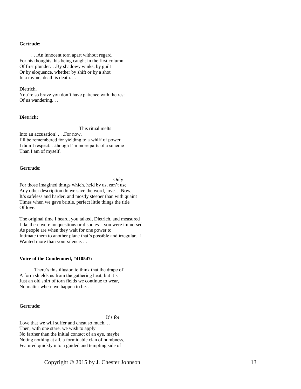#### **Gertrude:**

 . . .An innocent torn apart without regard For his thoughts, his being caught in the first column Of first plunder. . .By shadowy winks, by guilt Or by eloquence, whether by shift or by a shot In a ravine, death is death...

#### Dietrich,

You're so brave you don't have patience with the rest Of us wandering. . .

#### **Dietrich:**

This ritual melts

Into an accusation! . . .For now, I'll be remembered for yielding to a whiff of power I didn't respect. . .though I'm more parts of a scheme Than I am of myself.

#### **Gertrude:**

Only

For those imagined things which, held by us, can't use Any other description do we save the word, love. . .Now, It's safeless and harder, and mostly steeper than with quaint Times when we gave brittle, perfect little things the title Of love.

The original time I heard, you talked, Dietrich, and measured Like there were no questions or disputes – you were immersed As people are when they wait for one power to Intimate them to another plane that's possible and irregular. I Wanted more than your silence. . .

#### **Voice of the Condemned, #410547:**

 There's this illusion to think that the drape of A form shields us from the gathering heat, but it's Just an old shirt of torn fields we continue to wear, No matter where we happen to be. . .

#### **Gertrude:**

It's for

Love that we will suffer and cheat so much... Then, with one stare, we wish to apply No farther than the initial contact of an eye, maybe Noting nothing at all, a formidable clan of numbness, Featured quickly into a guided and tempting side of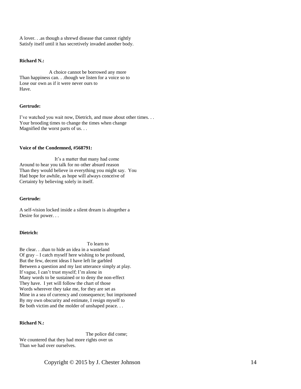A lover. . .as though a shrewd disease that cannot rightly Satisfy itself until it has secretively invaded another body.

#### **Richard N.:**

 A choice cannot be borrowed any more Than happiness can. . .though we listen for a voice so to Lose our own as if it were never ours to Have.

#### **Gertrude:**

I've watched you wait now, Dietrich, and muse about other times. . . Your brooding times to change the times when change Magnified the worst parts of us...

#### **Voice of the Condemned, #568791:**

 It's a matter that many had come Around to hear you talk for no other absurd reason Than they would believe in everything you might say. You Had hope for awhile, as hope will always conceive of Certainty by believing solely in itself.

#### **Gertrude:**

A self-vision locked inside a silent dream is altogether a Desire for power. . .

#### **Dietrich:**

#### To learn to

Be clear. . .than to hide an idea in a wasteland Of gray – I catch myself here wishing to be profound, But the few, decent ideas I have left lie garbled Between a question and my last utterance simply at play. If vague, I can't trust myself; I'm alone in Many words to be sustained or to deny the non-effect They have. I yet will follow the chart of those Words wherever they take me, for they are set as Mine in a sea of currency and consequence; but imprisoned By my own obscurity and estimate, I resign myself to Be both victim and the molder of unshaped peace. . .

#### **Richard N.:**

 The police did come; We countered that they had more rights over us Than we had over ourselves.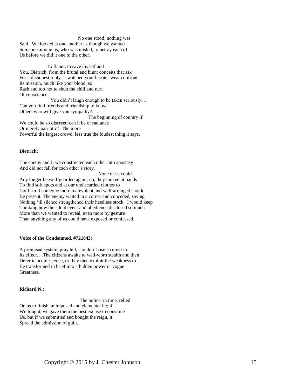No one stood; nothing was Said. We looked at one another as though we wanted Someone among us, who was misled, to betray each of Us before we did it one to the other.

 To flaunt, to save myself and You, Dietrich, from the brutal and blunt conceits that ask For a dishonest reply. I watched your heroic sweat confront Its mission, much like your blood, so Rash and too hot to shun the chill and turn Of conscience. You didn't laugh enough to be taken seriously. . .

Can you find friends and friendship to know Others who will give you sympathy?. . . The beginning of country if

We could be so discreet; can it be of radiance Or merely patriotic? The more Powerful the largest crowd, less true the loudest thing it says.

#### **Dietrich:**

The enemy and I, we constructed each other into apostasy And did not fall for each other's story.

 None of us could Any longer be well-guarded again; no, they looked at hands To find soft spots and at our undiscarded clothes to Confirm if someone more malevolent and well-arranged should Be present. The enemy waited in a corner and conceded, saying Nothing 'til silence strengthened their heedless stock. I would keep Thinking how the silent event and obedience disclosed so much More than we wanted to reveal, even more by gesture Than anything any of us could have exposed or confessed.

#### **Voice of the Condemned, #721843:**

A promised system, pray tell, shouldn't rise so cruel in Its effect. . .The citizens awake to well-worn stealth and then Defer in acquiescence, or they then exploit the weakness to Be transformed in brief into a hidden power or vogue Greatness.

#### **Richard N.:**

 The police, in time, relied On us to finish an imposed and elemental lie; if We fought, we gave them the best excuse to consume Us, but if we submitted and bought the reign, it Spread the admission of guilt.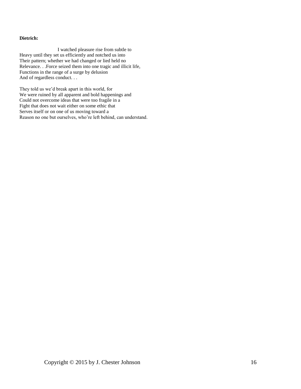#### **Dietrich:**

 I watched pleasure rise from subtle to Heavy until they set us efficiently and notched us into Their pattern; whether we had changed or lied held no Relevance. . .Force seized them into one tragic and illicit life, Functions in the range of a surge by delusion And of regardless conduct. . .

They told us we'd break apart in this world, for We were ruined by all apparent and bold happenings and Could not overcome ideas that were too fragile in a Fight that does not wait either on some ethic that Serves itself or on one of us moving toward a Reason no one but ourselves, who're left behind, can understand.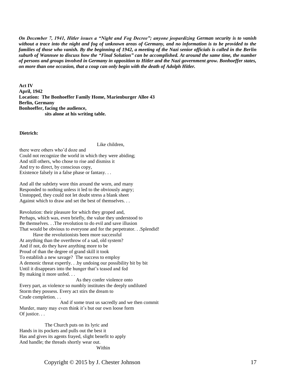*On December 7, 1941, Hitler issues a "Night and Fog Decree"; anyone jeopardizing German security is to vanish without a trace into the night and fog of unknown areas of Germany, and no information is to be provided to the families of those who vanish. By the beginning of 1942, a meeting of the Nazi senior officials is called in the Berlin suburb of Wannsee to discuss how the "Final Solution" can be accomplished. At around the same time, the number of persons and groups involved in Germany in opposition to Hitler and the Nazi government grow. Bonhoeffer states, on more than one occasion, that a coup can only begin with the death of Adolph Hitler.*

 **Act IV April, 1942 Location: The Bonhoeffer Family Home, Marienburger Allee 43 Berlin, Germany Bonhoeffer, facing the audience, sits alone at his writing table.**

**Dietrich:**

Like children,

there were others who'd doze and Could not recognize the world in which they were abiding; And still others, who chose to rise and dismiss it And try to direct, by conscious copy, Existence falsely in a false phase or fantasy. . .

And all the subtlety wore thin around the worn, and many Responded to nothing unless it led to the obviously angry; Unstopped, they could not let doubt stress a blank sheet Against which to draw and set the best of themselves. . .

Revolution: their pleasure for which they groped and, Perhaps, which was, even briefly, the value they understood to Be themselves. . .The revolution to do evil and save illusion That would be obvious to everyone and for the perpetrator. . .Splendid!

 Have the revolutionists been more successful At anything than the overthrow of a sad, old system? And if not, do they have anything more to be Proud of than the degree of grand skill it took To establish a new savage? The success to employ A demonic threat expertly. . .by undoing our possibility bit by bit Until it disappears into the hunger that's teased and fed By making it more unfed. . .

 As they confer violence onto Every part, as violence so numbly institutes the deeply undiluted Storm they possess. Every act stirs the dream to Crude completion. . .

 And if some trust us sacredly and we then commit Murder, many may even think it's but our own loose form Of justice. . .

 The Church puts on its lyric and Hands in its pockets and pulls out the best it Has and gives its agents frayed, slight benefit to apply And handle; the threads shortly wear out.

Within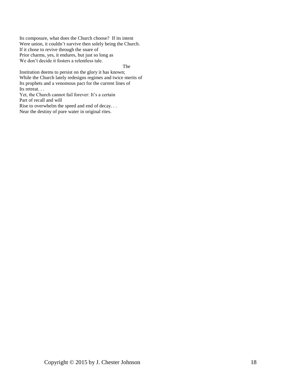Its composure, what does the Church choose? If its intent Were union, it couldn't survive then solely being the Church. If it chose to revive through the snare of Prior charms, yes, it endures, but just so long as We don't decide it fosters a relentless tale.

**The Strategy of The Strategy** 

Institution deems to persist on the glory it has known; While the Church lately redesigns regimes and twice merits of Its prophets and a venomous pact for the current lines of Its retreat. . .

Yet, the Church cannot fail forever: It's a certain Part of recall and will

Rise to overwhelm the speed and end of decay. . . Near the destiny of pure water in original rites.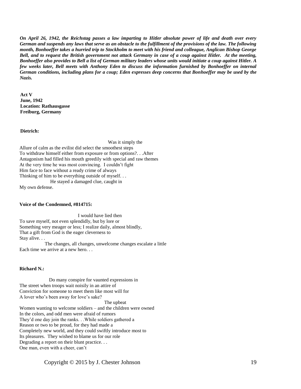*On April 26, 1942, the Reichstag passes a law imparting to Hitler absolute power of life and death over every German and suspends any laws that serve as an obstacle to the fulfillment of the provisions of the law. The following month, Bonhoeffer takes a hurried trip to Stockholm to meet with his friend and colleague, Anglican Bishop George Bell, and to request the British government not attack Germany in case of a coup against Hitler. At the meeting, Bonhoeffer also provides to Bell a list of German military leaders whose units would initiate a coup against Hitler. A few weeks later, Bell meets with Anthony Eden to discuss the information furnished by Bonhoeffer on internal German conditions, including plans for a coup; Eden expresses deep concerns that Bonhoeffer may be used by the Nazis.*

 **Act V June, 1942 Location: Rathausgasse Freiburg, Germany**

#### **Dietrich:**

Was it simply the

Allure of calm as the evilist did select the smoothest steps To withdraw himself either from exposure or from options?. . .After Antagonism had filled his mouth greedily with special and raw themes At the very time he was most convincing. I couldn't fight Him face to face without a ready crime of always Thinking of him to be everything outside of myself. . . He stayed a damaged clue, caught in My own defense.

#### **Voice of the Condemned, #814715:**

 I would have lied then To save myself, not even splendidly, but by lore or Something very meager or less; I realize daily, almost blindly, That a gift from God is the eager cleverness to Stay alive. . .

 The changes, all changes, unwelcome changes escalate a little Each time we arrive at a new hero. . .

#### **Richard N.:**

 Do many conspire for vaunted expressions in The street when troops wait noisily in an attire of Conviction for someone to meet them like most will for A lover who's been away for love's sake? The upbeat Women wanting to welcome soldiers – and the children were owned In the colors, and odd men were afraid of rumors They'd one day join the ranks. . .While soldiers gathered a Reason or two to be proud, for they had made a Completely new world, and they could swiftly introduce most to Its pleasures. They wished to blame us for our role Degrading a report on their blunt practice. . . One man, even with a cheer, can't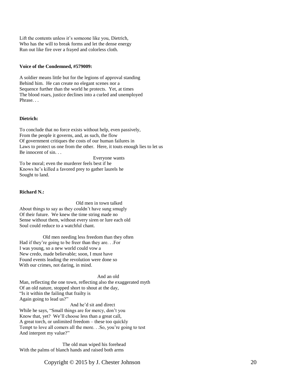Lift the contents unless it's someone like you, Dietrich, Who has the will to break forms and let the dense energy Run out like fire over a frayed and colorless cloth.

#### **Voice of the Condemned, #579009:**

A soldier means little but for the legions of approval standing Behind him. He can create no elegant scenes nor a Sequence further than the world he protects. Yet, at times The blood roars, justice declines into a curled and unemployed Phrase. . .

#### **Dietrich:**

To conclude that no force exists without help, even passively, From the people it governs, and, as such, the flow Of government critiques the costs of our human failures in Laws to protect us one from the other. Here, it touts enough lies to let us Be innocent of sin. . .

 Everyone wants To be moral; even the murderer feels best if he Knows he's killed a favored prey to gather laurels he Sought to land.

#### **Richard N.:**

 Old men in town talked About things to say as they couldn't have sung smugly Of their future. We knew the time string made no Sense without them, without every siren or lure each old Soul could reduce to a watchful chant.

 Old men needing less freedom than they often Had if they're going to be freer than they are. . .For I was young, so a new world could vow a New credo, made believable; soon, I must have Found events leading the revolution were done so With our crimes, not daring, in mind.

And an old Man, reflecting the one town, reflecting also the exaggerated myth Of an old nature, stopped short to shout at the day, "Is it within the failing that frailty is Again going to lead us?"

 And he'd sit and direct While he says, "Small things are for mercy, don't you Know that, yet? We'll choose less than a great call, A great torch, or unlimited freedom – these too quickly Tempt to love all comers all the more. . .So, you're going to test And interpret my value?"

 The old man wiped his forehead With the palms of blanch hands and raised both arms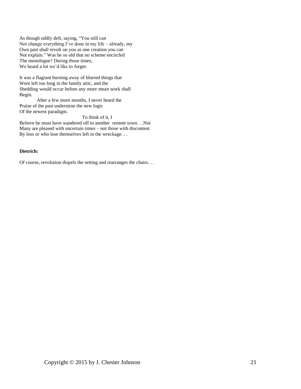As though oddly deft, saying, "You still can Not change everything I've done in my life – already, my Own past shall revolt on you as one creation you can Not explain." Was he so old that no scheme encircled The monologue? During those times, We heard a lot we'd like to forget.

It was a flagrant burning away of blurred things that Were left too long in the family attic, and the Shedding would occur before any more mean work shall Begin.

 After a few more months, I never heard the Praise of the past undermine the new logic Of the newest paradigm.

 To think of it, I Believe he must have wandered off to another remote town. . .Not Many are pleased with uncertain times – not those with discontent By loss or who lose themselves left in the wreckage. . .

#### **Dietrich:**

Of course, revolution dispels the setting and rearranges the chairs. . .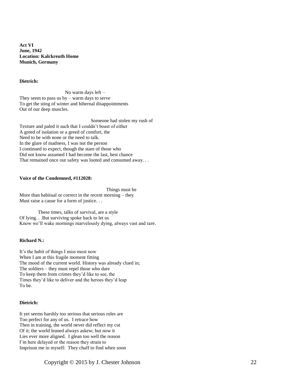**Act VI June, 1942 Location: Kalckreuth Home Munich, Germany**

#### **Dietrich:**

 No warm days left – They seem to pass us  $by - warm$  days to serve To get the sting of winter and hibernal disappointments Out of our deep muscles.

 Someone had stolen my rush of Texture and paled it such that I couldn't boast of either A greed of isolation or a greed of comfort, the Need to be with none or the need to talk. In the glare of madness, I was not the person I continued to expect, though the stare of those who Did not know assumed I had become the last, best chance That remained once our safety was looted and consumed away. . .

#### **Voice of the Condemned, #112028:**

 Things must be More than habitual or correct in the recent morning – they Must raise a cause for a form of justice. . .

 These times, talks of survival, are a style Of lying. . .But surviving spoke back to let us Know we'll wake mornings marvelously dying, always vast and rare.

#### **Richard N.:**

It's the habit of things I miss most now When I am at this fragile moment fitting The mood of the current world. History was already clued in; The soldiers – they must repel those who dare To keep them from crimes they'd like to see, the Times they'd like to deliver and the heroes they'd leap To be.

#### **Dietrich:**

It yet seems harshly too serious that serious roles are Too perfect for any of us. I retrace how Then in training, the world never did reflect my cut Of it; the world leaned always askew; but now it Lies ever more aligned. I glean too well the reason I'm here delayed or the reason they strain to Imprison me in myself: They chaff to find when soon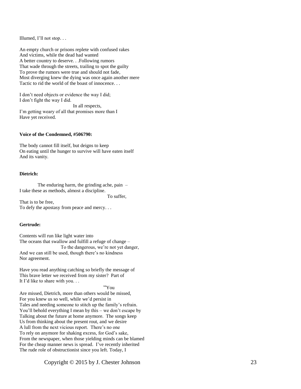Illumed, I'll not stop. . .

An empty church or prisons replete with confused rakes And victims, while the dead had wanted A better country to deserve. . .Following rumors That wade through the streets, trailing to spot the guilty To prove the rumors were true and should not fade , Most diverging knew the dying was once again another mere Tactic to rid the world of the boast of innocence. . .

I don't need objects or evidence the way I did; I don't fight the way I did. In all respects, I'm getting weary of all that promises more than I Have yet received.

#### **Voice of the Condemned, #506790:**

The body cannot fill itself , but deigns to keep On eating until the hunger to survive will have eaten itself And its vanity.

#### **Dietrich:**

 The enduring harm, the grinding ache, pain – I take these as methods, almost a discipline .

To suffer,

That is to be free, To defy the apostasy from peace and mercy. . .

#### **Gertrude:**

Contents will run like light water into The oceans that swallow and fulfill a refuge of change – To the dangerous, we're not yet danger, And we can still be used, though there's no kindness Nor agreement.

Have you read anything catching so briefly the message of This brave letter we received from my sister? Part of It I'd like to share with you. . .

"You

Are missed, Dietrich, more than others would be missed, For you knew us so well, while we'd persist in Tales and needing someone to stitch up the family's refrain . You'll behold everything I mean by this – we don't escape by Talking about the future at home anymore. The songs keep Us from thinking about the present rout, and we desire A lull from the next vicious report. There's no one To rely on anymore for shaking excess, for God's sake, From the newspaper, when those yielding minds can be blamed For the cheap manner news is spread. I've recently inherited The rude role of obstructionist since you left. Today, I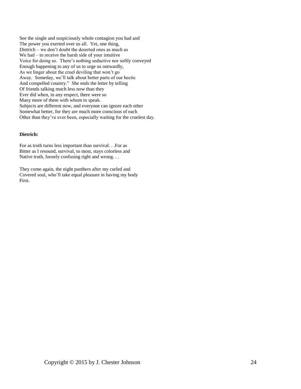See the single and suspiciously whole contagion you had and The power you exerted over us all. Yet, one thing, Dietrich – we don't doubt the deserted ones as much as We had – to receive the harsh side of your intuitive Voice for doing so. There's nothing seductive nor softly conveyed Enough happening to any of us to urge us outwardly, As we linger about the cruel deviling that won't go Away. Someday, we'll talk about better parts of our hectic And compelled country." She ends the letter by telling Of friends talking much less now than they Ever did when, in any respect, there were so Many more of them with whom to speak. Subjects are different now, and everyone can ignore each other Somewhat better, for they are much more conscious of each Other than they've ever been, especially waiting for the cruelest day.

#### **Dietrich:**

For as truth turns less important than survival. . .For as Bitter as I resound, survival, to most, stays colorless and Native truth, loosely confusing right and wrong. . .

They come again, the night panthers after my curled and Covered soul, who'll take equal pleasure in having my body First.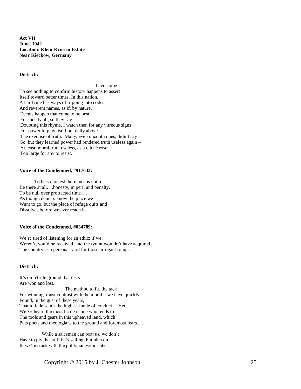**Act VII June, 1942 Location: Klein-Krossin Estate Near Kieckow, Germany**

#### **Dietrich:**

 I have come To see nothing to confirm history happens to assert Itself toward better times. In this nation, A hard rule has ways of tripping into codes And reverent names, as if, by nature, Events happen that come to be best For mostly all, so they say. . . Doubting this rhyme, I watch then for any vitreous signs For power to play itself out daily above The exercise of truth. Many, even uncouth ones, didn't say So, but they learned power had rendered truth useless again – At least, moral truth useless, as a cliché rose Too large for any to resist.

#### **Voice of the Condemned, #917643:**

 To be so honest there means not to Be there at all. . .honesty, in peril and penalty, To be null over protracted time. . . As though deniers know the place we Want to go, but the place of refuge quits and Dissolves before we ever reach it.

#### **Voice of the Condemned, #034789:**

We're tired of listening for an ethic; if we Weren't, you'd be received, and the tyrant wouldn't have acquired The country as a personal yard for those arrogant romps.

#### **Dietrich:**

It's on febrile ground that tests Are won and lost. The method to fit, the tack For winning, must contrast with the moral – we have quickly Found, in the gust of these years, That to fade sends the highest mode of conduct. . .Yet, We've heard the most facile is one who tends to The tools and gears in this upheaved land, which Puts poets and theologians to the ground and foremost fears...

 While a salesman can beat us, we don't Have to ply the stuff he's selling, but plan on It, we're stuck with the politician we instate.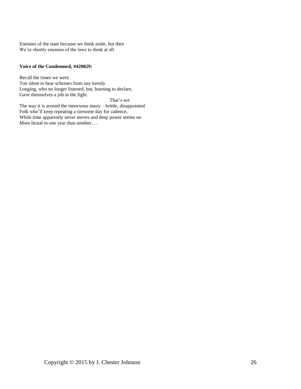Enemies of the state because we think aside, but then We're shortly enemies of the laws to think at all.

#### **Voice of the Condemned, #420829:**

Recall the times we were Too silent to hear schemes from any keenly Longing, who no longer listened, but, learning to declare, Gave themselves a job in the fight.

 That's not The way it is around the innocuous many – brittle, disappointed Folk who'll keep repeating a tiresome day for cadence, While time apparently never moves and deep power seems no More brutal in one year than another. . .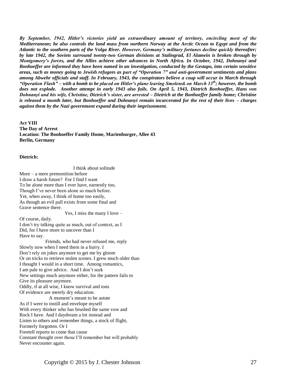*By September, 1942, Hitler's victories yield an extraordinary amount of territory, encircling most of the Mediterranean; he also controls the land mass from northern Norway at the Arctic Ocean to Egypt and from the Atlantic to the southern parts of the Volga River. However, Germany's military fortunes decline quickly thereafter; by late 1942, the Soviets surround twenty-two German divisions at Stalingrad, El Alamein is broken through by Montgomery's forces, and the Allies achieve other advances in North Africa. In October, 1942, Dohnanyi and Bonhoeffer are informed they have been named in an investigation, conducted by the Gestapo, into certain sensitive areas, such as money going to Jewish refugees as part of "Operation 7" and anti-government sentiments and plans among Abwehr officials and staff. In February, 1943, the conspirators believe a coup will occur in March through "Operation Flash" – with a bomb to be placed on Hitler's plane leaving Smolensk on March 13th; however, the bomb does not explode. Another attempt in early 1943 also fails. On April 5, 1943, Dietrich Bonhoeffer, Hans von Dohnanyi and his wife, Christine, Dietrich's sister, are arrested – Dietrich at the Bonhoeffer family home; Christine is released a month later, but Bonhoeffer and Dohnanyi remain incarcerated for the rest of their lives – charges against them by the Nazi government expand during their imprisonment.*

#### **Act VIII**

**The Day of Arrest Location: The Bonhoeffer Family Home, Marienburger, Allee 43 Berlin, Germany**

#### **Dietrich:**

 I think about solitude More – a mere premonition before I draw a harsh future? For I find I want To be alone more than I ever have, earnestly too, Though I've never been alone so much before. Yet, when away, I think of home too easily, As though an evil pall exists from some final and Grave sentence there. Yes, I miss the many I love – Of course, daily. I don't try talking quite as much, out of context, as I Did, for I have more to uncover than I Have to say. Friends, who had never refused me, reply Slowly now when I need them in a hurry. I Don't rely on jokes anymore to get me by gloom Or on tricks to retrieve stolen scenes. I grew much older than I thought I would in a short time. Among romantics, I am pale to give advice. And I don't seek New settings much anymore either, for the pattern fails to Give its pleasure anymore. Oddly, if at all wise, I know survival and tons Of evidence are merely dry education. A moment's meant to be astute As if I were to instill and envelope myself With every thinker who has brushed the same vow and Rock I have. And I daydream a lot instead and Listen to others and remember things, a stock of flight, Formerly forgotten. Or I Foretell reports to come that cause Constant thought over those I'll remember but will probably Never encounter again.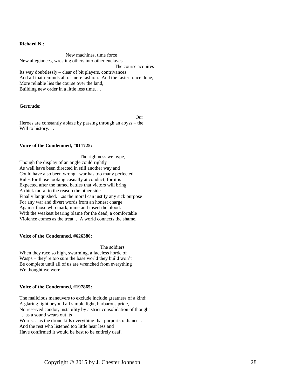#### **Richard N.:**

 New machines, time force New allegiances, wresting others into other enclaves. . . The course acquires Its way doubtlessly – clear of bit players, contrivances And all that reminds all of mere fashion. And the faster, once done, More reliable lies the course over the land, Building new order in a little less time. . .

#### **Gertrude:**

Our Heroes are constantly ablaze by passing through an abyss – the Will to history. . .

#### **Voice of the Condemned, #011725:**

 The rightness we hype, Though the display of an angle could rightly As well have been directed in still another way and Could have also been wrong: war has too many perfected Rules for those looking casually at conduct; for it is Expected after the famed battles that victors will bring A thick moral to the reason the other side Finally lanquished. . .as the moral can justify any sick purpose For any war and divert words from an honest charge Against those who mark, mine and insert the blood. With the weakest bearing blame for the dead, a comfortable Violence comes as the treat. . .A world connects the shame.

#### **Voice of the Condemned, #626380:**

The soldiers

When they race so high, swarming, a faceless horde of Wasps – they're too sure the base world they build won't Be complete until all of us are wrenched from everything We thought we were.

#### **Voice of the Condemned, #197865:**

The malicious maneuvers to exclude include greatness of a kind: A glaring light beyond all simple light, barbarous pride, No reserved candor, instability by a strict consolidation of thought . . .as a sound wears out its Words. . .as the drone kills everything that purports radiance. . .

And the rest who listened too little hear less and

Have confirmed it would be best to be entirely deaf.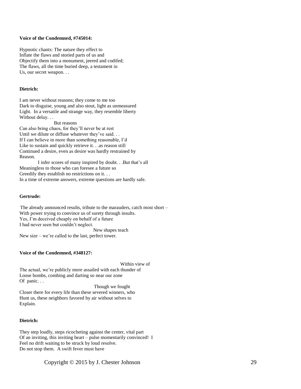#### **Voice of the Condemned, #745014:**

Hypnotic chants: The nature they effect to Inflate the flaws and storied parts of us and Objectify them into a monument, jeered and codifed; The flaws, all the time buried deep, a testament in Us, our secret weapon. . .

#### **Dietrich:**

I am never without reasons; they come to me too Dark to disguise, young and also stout, light as unmeasured Light. In a versatile and strange way, they resemble liberty Without delay. . .

#### But reasons

Can also bring chaos, for they'll never be at rest Until we dilute or diffuse whatever they've said... If I can believe in more than something reasonable, I'd Like to sustain and quickly retrieve it. . .as reason still Continued a desire, even as desire was hardly restrained by Reason.

 I infer scores of many inspired by doubt. . .But that's all Meaningless to those who can foresee a future so Greedily they establish no restrictions on it... In a time of extreme answers, extreme questions are hardly safe.

#### **Gertrude:**

 The already announced results, tribute to the marauders, catch most short – With power trying to convince us of surety through insults. Yes, I'm deceived cheaply on behalf of a future I had never seen but couldn't neglect. New shapes teach New size – we're called to the last, perfect tower.

#### **Voice of the Condemned, #348127:**

 Within view of The actual, we're publicly more assailed with each thunder of Loose bombs, combing and darting so near our zone Of panic...

 Though we fought Closer there for every life than these severed winners, who Hunt us, these neighbors favored by air without selves to Explain.

#### **Dietrich:**

They step loudly, steps ricocheting against the center, vital part Of an inviting, this inviting heart – pulse momentarily convinced! I Feel no drift waiting to be struck by loud resolve. Do not stop them. A swift fever must have